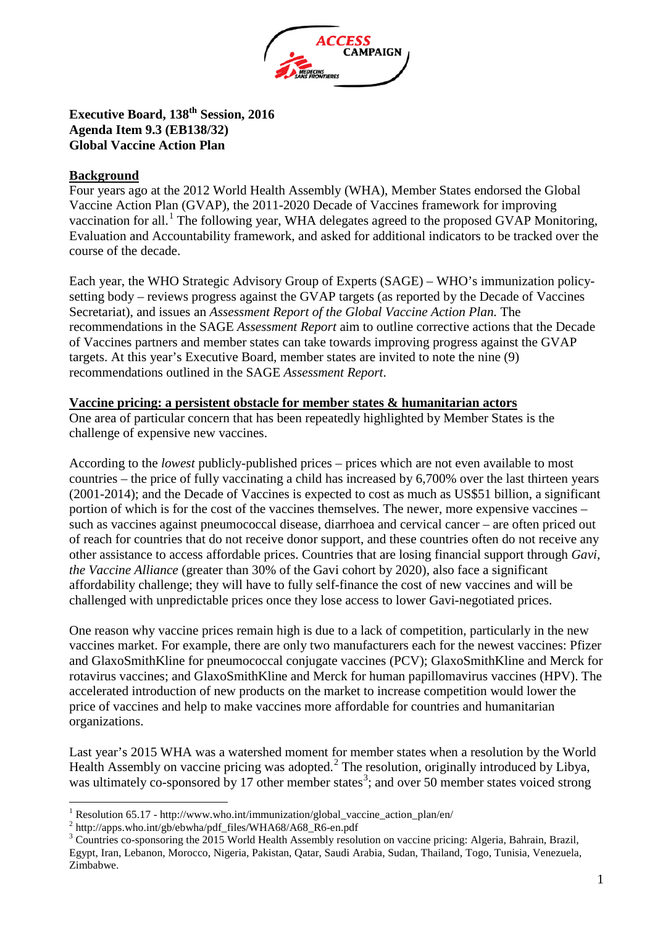

## **Executive Board, 138th Session, 2016 Agenda Item 9.3 (EB138/32) Global Vaccine Action Plan**

## **Background**

Four years ago at the 2012 World Health Assembly (WHA), Member States endorsed the Global Vaccine Action Plan (GVAP), the 2011-2020 Decade of Vaccines framework for improving vaccination for all.<sup>[1](#page-0-0)</sup> The following year, WHA delegates agreed to the proposed GVAP Monitoring, Evaluation and Accountability framework, and asked for additional indicators to be tracked over the course of the decade.

Each year, the WHO Strategic Advisory Group of Experts (SAGE) – WHO's immunization policysetting body – reviews progress against the GVAP targets (as reported by the Decade of Vaccines Secretariat), and issues an *Assessment Report of the Global Vaccine Action Plan.* The recommendations in the SAGE *Assessment Report* aim to outline corrective actions that the Decade of Vaccines partners and member states can take towards improving progress against the GVAP targets. At this year's Executive Board, member states are invited to note the nine (9) recommendations outlined in the SAGE *Assessment Report*.

## **Vaccine pricing: a persistent obstacle for member states & humanitarian actors**

One area of particular concern that has been repeatedly highlighted by Member States is the challenge of expensive new vaccines.

According to the *lowest* publicly-published prices – prices which are not even available to most countries – the price of fully vaccinating a child has increased by 6,700% over the last thirteen years (2001-2014); and the Decade of Vaccines is expected to cost as much as US\$51 billion, a significant portion of which is for the cost of the vaccines themselves. The newer, more expensive vaccines – such as vaccines against pneumococcal disease, diarrhoea and cervical cancer – are often priced out of reach for countries that do not receive donor support, and these countries often do not receive any other assistance to access affordable prices. Countries that are losing financial support through *Gavi, the Vaccine Alliance* (greater than 30% of the Gavi cohort by 2020), also face a significant affordability challenge; they will have to fully self-finance the cost of new vaccines and will be challenged with unpredictable prices once they lose access to lower Gavi-negotiated prices.

One reason why vaccine prices remain high is due to a lack of competition, particularly in the new vaccines market. For example, there are only two manufacturers each for the newest vaccines: Pfizer and GlaxoSmithKline for pneumococcal conjugate vaccines (PCV); GlaxoSmithKline and Merck for rotavirus vaccines; and GlaxoSmithKline and Merck for human papillomavirus vaccines (HPV). The accelerated introduction of new products on the market to increase competition would lower the price of vaccines and help to make vaccines more affordable for countries and humanitarian organizations.

Last year's 2015 WHA was a watershed moment for member states when a resolution by the World Health Assembly on vaccine pricing was adopted.<sup>[2](#page-0-1)</sup> The resolution, originally introduced by Libya, was ultimately co-sponsored by 17 other member states<sup>[3](#page-0-2)</sup>; and over 50 member states voiced strong

<span id="page-0-2"></span><span id="page-0-1"></span>

<span id="page-0-0"></span><sup>&</sup>lt;sup>1</sup> Resolution 65.17 - http://www.who.int/immunization/global\_vaccine\_action\_plan/en/<br> $^2$  http://apps.who.int/gb/ebwha/pdf\_files/WHA68/A68\_R6-en.pdf<br> $^3$  Countries co-sponsoring the 2015 World Health Assembly resolution Egypt, Iran, Lebanon, Morocco, Nigeria, Pakistan, Qatar, Saudi Arabia, Sudan, Thailand, Togo, Tunisia, Venezuela, Zimbabwe.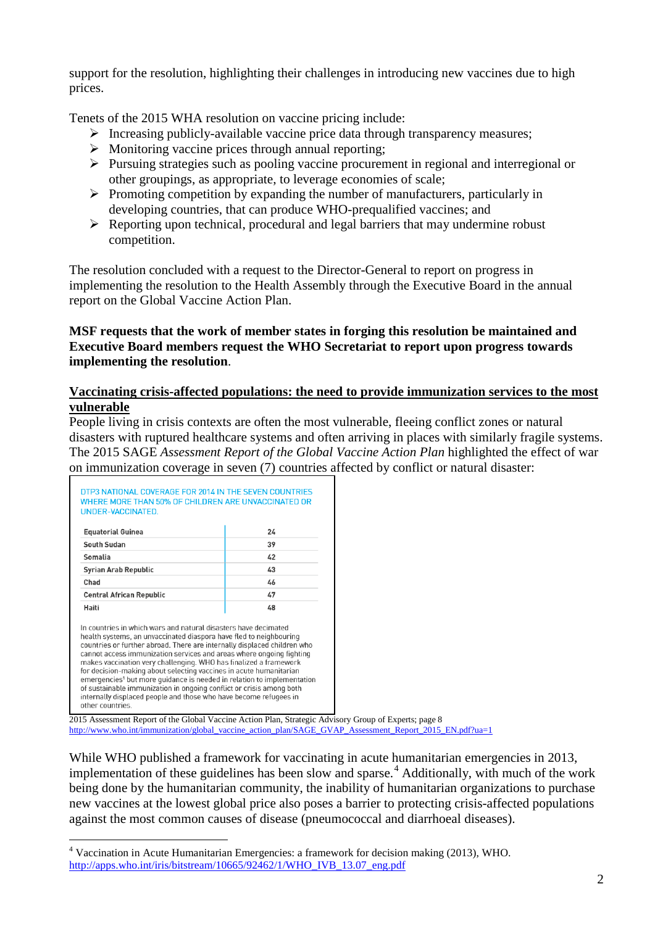support for the resolution, highlighting their challenges in introducing new vaccines due to high prices.

Tenets of the 2015 WHA resolution on vaccine pricing include:

- $\triangleright$  Increasing publicly-available vaccine price data through transparency measures;
- $\triangleright$  Monitoring vaccine prices through annual reporting;
- $\triangleright$  Pursuing strategies such as pooling vaccine procurement in regional and interregional or other groupings, as appropriate, to leverage economies of scale;
- $\triangleright$  Promoting competition by expanding the number of manufacturers, particularly in developing countries, that can produce WHO-prequalified vaccines; and
- $\triangleright$  Reporting upon technical, procedural and legal barriers that may undermine robust competition.

The resolution concluded with a request to the Director-General to report on progress in implementing the resolution to the Health Assembly through the Executive Board in the annual report on the Global Vaccine Action Plan.

## **MSF requests that the work of member states in forging this resolution be maintained and Executive Board members request the WHO Secretariat to report upon progress towards implementing the resolution**.

## **Vaccinating crisis-affected populations: the need to provide immunization services to the most vulnerable**

People living in crisis contexts are often the most vulnerable, fleeing conflict zones or natural disasters with ruptured healthcare systems and often arriving in places with similarly fragile systems. The 2015 SAGE *Assessment Report of the Global Vaccine Action Plan* highlighted the effect of war on immunization coverage in seven (7) countries affected by conflict or natural disaster:

| <b>Equatorial Guinea</b>                                                                                                                                                                                                                                                                                                                                                                                                                                                                                                                                                                                                                                                | 24 |
|-------------------------------------------------------------------------------------------------------------------------------------------------------------------------------------------------------------------------------------------------------------------------------------------------------------------------------------------------------------------------------------------------------------------------------------------------------------------------------------------------------------------------------------------------------------------------------------------------------------------------------------------------------------------------|----|
| South Sudan                                                                                                                                                                                                                                                                                                                                                                                                                                                                                                                                                                                                                                                             | 39 |
| Somalia                                                                                                                                                                                                                                                                                                                                                                                                                                                                                                                                                                                                                                                                 | 42 |
| <b>Syrian Arab Republic</b>                                                                                                                                                                                                                                                                                                                                                                                                                                                                                                                                                                                                                                             | 43 |
| Chad                                                                                                                                                                                                                                                                                                                                                                                                                                                                                                                                                                                                                                                                    | 46 |
| <b>Central African Republic</b>                                                                                                                                                                                                                                                                                                                                                                                                                                                                                                                                                                                                                                         | 47 |
| Haiti                                                                                                                                                                                                                                                                                                                                                                                                                                                                                                                                                                                                                                                                   | 4R |
| In countries in which wars and natural disasters have decimated<br>health systems, an unvaccinated diaspora have fled to neighbouring<br>countries or further abroad. There are internally displaced children who<br>cannot access immunization services and areas where ongoing fighting<br>makes vaccination very challenging. WHO has finalized a framework<br>for decision-making about selecting vaccines in acute humanitarian<br>emergencies <sup>1</sup> but more quidance is needed in relation to implementation<br>of sustainable immunization in ongoing conflict or crisis among both<br>internally displaced people and those who have become refugees in |    |

2015 Assessment Report of the Global Vaccine Action Plan, Strategic Advisory Group of Experts; page 8 [http://www.who.int/immunization/global\\_vaccine\\_action\\_plan/SAGE\\_GVAP\\_Assessment\\_Report\\_2015\\_EN.pdf?ua=1](http://www.who.int/immunization/global_vaccine_action_plan/SAGE_GVAP_Assessment_Report_2015_EN.pdf?ua=1)

While WHO published a framework for vaccinating in acute humanitarian emergencies in 2013, implementation of these guidelines has been slow and sparse.<sup>[4](#page-1-0)</sup> Additionally, with much of the work being done by the humanitarian community, the inability of humanitarian organizations to purchase new vaccines at the lowest global price also poses a barrier to protecting crisis-affected populations against the most common causes of disease (pneumococcal and diarrhoeal diseases).

<span id="page-1-0"></span> <sup>4</sup> Vaccination in Acute Humanitarian Emergencies: a framework for decision making (2013), WHO. [http://apps.who.int/iris/bitstream/10665/92462/1/WHO\\_IVB\\_13.07\\_eng.pdf](http://apps.who.int/iris/bitstream/10665/92462/1/WHO_IVB_13.07_eng.pdf)